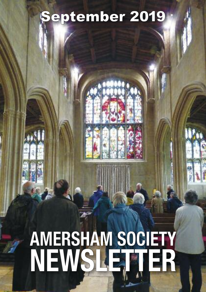## eptember 2019

# **AMERSHAM SOCIETY** NEWSLET ER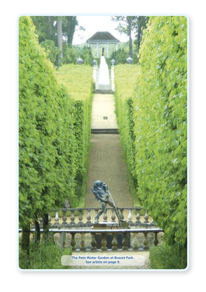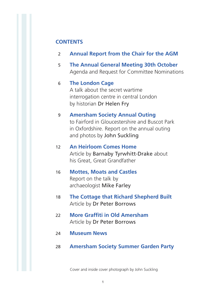### **CONTENTS**

- 02 **Annual Report from the Chair for the AGM**
- 05 **The Annual General Meeting 30th October** Agenda and Request for Committee Nominations

### 06 **The London Cage**

 A talk about the secret wartime interrogation centre in central London by historian Dr Helen Fry

### 09 **Amersham Society Annual Outing**

 to Fairford in Gloucestershire and Buscot Park in Oxfordshire. Report on the annual outing and photos by John Suckling

- 12 **An Heirloom Comes Home** Article by Barnaby Tyrwhitt-Drake about his Great, Great Grandfather
- 16 **Mottes, Moats and Castles** Report on the talk by archaeologist Mike Farley
- 18 **The Cottage that Richard Shepherd Built** Article by Dr Peter Borrows
- 22 **More Graffiti in Old Amersham** Article by Dr Peter Borrows
- 24 **Museum News**
- 28 **Amersham Society Summer Garden Party**

Cover and inside cover photograph by John Suckling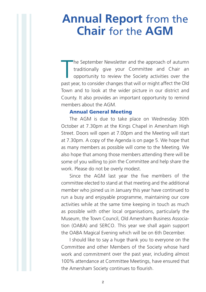### **Annual Report** from the **Chair** for the **AGM**

The September Newsletter and the approach of autumn traditionally give your Committee and Chair an opportunity to review the Society activities over the past year, to consider changes that will or might affect the Old Town and to look at the wider picture in our district and County. It also provides an important opportunity to remind members about the AGM.

#### **Annual General Meeting**

The AGM is due to take place on Wednesday 30th October at 7.30pm at the Kings Chapel in Amersham High Street. Doors will open at 7.00pm and the Meeting will start at 7.30pm. A copy of the Agenda is on page 5. We hope that as many members as possible will come to the Meeting. We also hope that among those members attending there will be some of you willing to join the Committee and help share the work. Please do not be overly modest.

Since the AGM last year the five members of the committee elected to stand at that meeting and the additional member who joined us in January this year have continued to run <sup>a</sup> busy and enjoyable programme, maintaining our core activities while at the same time keeping in touch as much as possible with other local organisations, particularly the Museum, the Town Council, Old Amersham Business Association (OABA) and SERCO. This year we shall again support the OABA Magical Evening which will be on 6th December.

I should like to say a huge thank you to everyone on the Committee and other Members of the Society whose hard work and commitment over the past year, including almost 100% attendance at Committee Meetings, have ensured that the Amersham Society continues to flourish.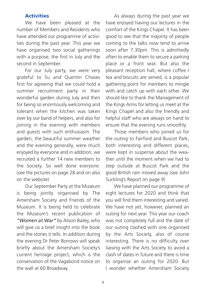### **Activities**

 number of Members and Residents who have attended our programme of activi-We have been pleased at the ties during the past year. This year we have organised two social gatherings with a purpose, the first in July and the second in September.

 first for agreeing that we could hold a For our July party, we were very grateful to Su and Quentin Chases summer recruitment party in their wonderful garden during July and then for being so enormously welcoming and tolerant when the kitchen was taken over by our band of helpers, and also for joining in the evening with members and guests with such enthusiasm. The garden, the beautiful summer weather and the evening generally, were much enjoyed by everyone and in addition, we recruited a further 14 new members to the Society. So well done everyone. (see the pictures on page 28 and on also on the website)

 Amersham Society and Friends of the Our September Party at the Museum is being jointly organised by The Museum. It is being held to celebrate the Museum's recent publication of *"Women at War"* by Alison Bailey, who will give us a brief insight into the book and the stories it tells. In addition during the evening Dr Peter Borrows will speak briefly about the Amersham Society's current heritage project, which is the conservation of the Vagabond notice on the wall at 60 Broadway.

 comfort of the Kings Chapel. It has been As always during the past year we have enjoyed having our lectures in the good to see that the majority of people coming to the talks now tend to arrive soon after 7.30pm. This is admittedly often to enable them to secure a parking place or a front seat. But also the pleasant reception hall, where coffee / tea and biscuits are served, is a popular gathering point for members to mingle with and catch up with each other. We should like to thank the Management of the Kings Arms for letting us meet at the Kings Chapel and also the friendly and helpful staff who are always on hand to ensure that the evening runs smoothly.

 both interesting and different places, Those members who joined us for the outing to Fairford and Buscot Park, were kept in suspense about the weather until the moment when we had to step outside at Buscot Park and the good British rain moved away (see John Suckling's Report on page 9)

 you will find them interesting and varied. We have planned our programme of eight lectures for 2020 and think that We have not yet, however, planned an outing for next year. This year our coach was not completely full and the date of our outing clashed with one organised by the Arts Society, also of course interesting. There is no difficulty over liaising with the Arts Society to avoid a clash of dates in future and there is time to organise an outing for 2020. But I wonder whether Amersham Society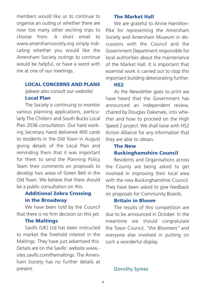members would like us to continue to organise an outing or whether there are now too many other exciting trips to choose from. A short email to www.amershamsociety.org simply indicating whether you would like the Amersham Society outings to continue would be helpful, or have a word with me at one of our meetings.

#### **LOCAL CONCERNS AND PLANS**

*(please also consult our website)* **Local Plan**

 various planning applications, particu- larly The Chiltern and South Bucks Local The Society is continuing to monitor Plan 2036 consultation. Our hard working Secretary hand delivered 400 cards to residents in the Old Town in August giving details of the Local Plan and reminding them that it was important for them to send the Planning Policy Team their comments on proposals to develop two areas of Green Belt in the Old Town. We believe that there should be a public consultation on this.

### **Additional Zebra Crossing in the Broadway**

 that there is no firm decision on this yet. We have been told by the Council

### **The Maltings**

 to market the freehold interest in the Maltings. They have just advertised this. Savills (UK) Ltd has been instructed Details are on the Savills' website www. sites.savills.com/themaltings. The Amersham Society has no further details at present.

### **The Market Hall**

 Pike for representing the Amersham Society and Amersham Museum in dis-We are grateful to Annie Hamiltoncussions with the Council and the Government Department responsible for local authorities about the maintenance of the Market Hall. It is important that essential work is carried out to stop this important building deteriorating further.

### **HS2**

 have heard that the Government has announced an independent review, As the Newsletter goes to print we chaired by Douglas Oakervee, into whether and how to proceed on the High Speed 2 project. We shall liaise with HS2 Action Alliance for any information that they are able to obtain.

### **The New Buckinghamshire Council**

 the County are being asked to get involved in improving their local area Residents and Organisations across with the new Buckinghamshire Council. They have been asked to give feedback on proposals for Community Boards.

### **Britain in Bloom**

 due to be announced in October. In the meantime we should congratulate The results of this competition are the Town Council, *"the Bloomers"* and everyone else involved in putting on such a wonderful display.

Dorothy Symes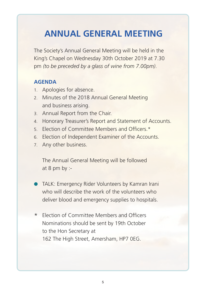### **ANNUAL GENERAL MEETING**

The Society's Annual General Meeting will be held in the King's Chapel on Wednesday 30th October 2019 at 7.30 pm *(to be preceded by a glass of wine from 7.00pm)*.

### **AGENDA**

- 1. Apologies for absence.
- 2. Minutes of the 2018 Annual General Meeting and business arising.
- 3. Annual Report from the Chair.
- 4. Honorary Treasurer's Report and Statement of Accounts.
- 5. Election of Committee Members and Officers \*
- 6. Election of Independent Examiner of the Accounts.
- 7. Any other business.

 The Annual General Meeting will be followed at 8 pm by :-

- **TALK: Emergency Rider Volunteers by Kamran Irani**  who will describe the work of the volunteers who deliver blood and emergency supplies to hospitals.
- \* Election of Committee Members and Officers Nominations should be sent by 19th October to the Hon Secretary at 162 The High Street, Amersham, HP7 0EG.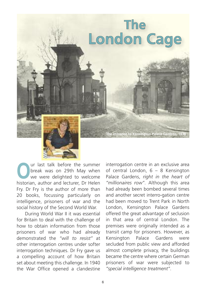

**Our last talk before the summer<br>break was on 29th May when<br>we were delighted to welcome<br>historian author and locturer. Dr. Holen** break was on 29th May when we were delighted to welcome historian, author and lecturer, Dr Helen Fry. Dr Fry is the author of more than 20 books, focussing particularly on intelligence, prisoners of war and the social history of the Second World War.

 how to obtain information from those During World War II it was essential for Britain to deal with the challenge of prisoners of war who had already demonstrated the *"will to resist"* at other interrogation centres under softer interrogation techniques. Dr Fry gave us a compelling account of how Britain set about meeting this challenge. In 1940 the War Office opened a clandestine

interrogation centre in an exclusive area of central London, 6 – 8 Kensington Palace Gardens, *right in the heart of "millionaires row"*. Although this area had already been bombed several times and another secret interro-gation centre had been moved to Trent Park in North London, Kensington Palace Gardens offered the great advantage of seclusion in that area of central London. The premises were originally intended as a transit camp for prisoners. However, as Kensington Palace Gardens were secluded from public view and afforded almost complete privacy, the buildings became the centre where certain German prisoners of war were subjected to *"special intelligence treatment"*.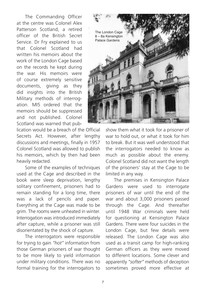Patterson Scotland, a retired The Commanding Officer at the centre was Colonel Alex officer of the British Secret Service. Dr Fry explained to us that Colonel Scotland had written his memoirs about the work of the London Cage based on the records he kept during the war. His memoirs were of course extremely sensitive documents, giving as they did insights into the British Military methods of interrogation. MI5 ordered that the memoirs should be suppressed and not published. Colonel Scotland was warned that pub-

lication would be a breach of the Official Secrets Act. However, after lengthy discussions and meetings, finally in 1957 Colonel Scotland was allowed to publish his memoirs, which by then had been heavily redacted.

 book were sleep deprivation, lengthy Some of the examples of techniques used at the Cage and described in the solitary confinement, prisoners had to remain standing for a long time, there was a lack of pencils and paper. Everything at the Cage was made to be grim. The rooms were unheated in winter. Interrogation was introduced immediately after capture, while a prisoner was still disorientated by the shock of capture.

 those German prisoners of war thought The interrogators were responsible for trying to gain *"hot"* information from to be more likely to yield information under military conditions. There was no formal training for the interrogators to



show them what it took for a prisoner of war to hold out, or what it took for him to break. But it was well understood that the interrogators needed to know as much as possible about the enemy. Colonel Scotland did not want the length of the prisoners' stay at the Cage to be limited in any way.

 prisoners of war until the end of the The premises in Kensington Palace Gardens were used to interrogate war and about 3,000 prisoners passed through the Cage. And thereafter until 1948 War criminals were held for questioning at Kensington Palace Gardens. There were four suicides in the London Cage, but few details were released. The London Cage was also used as a transit camp for high-ranking German officers as they were moved to different locations. Some clever and apparently *"softer"* methods of deception sometimes proved more effective at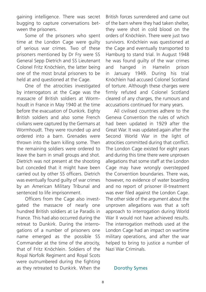gaining intelligence. There was secret bugging to capture conversations between the prisoners.

 of serious war crimes. Two of these Some of the prisoners who spent time at the London Cage were guilty prisoners mentioned by Dr Fry were SS General Sepp Dietrich and SS Lieutenant Colonel Fritz Knöchlein, the latter being one of the most brutal prisoners to be held at and questioned at the Cage.

 massacre of British soldiers at Worm-One of the atrocities investigated by interrogators at the Cage was the houdt in France in May 1940 at the time before the evacuation of Dunkirk. Eighty British soldiers and also some French civilians were captured by the Germans at Wormhoudt. They were rounded up and ordered into a barn. Grenades were thrown into the barn killing some. Then the remaining soldiers were ordered to leave the barn in small groups and shot. Dietrich was not present at the shooting but conceded that it might have been carried out by other SS officers. Dietrich was eventually found guilty of war crimes by an American Military Tribunal and sentenced to life imprisonment.

 hundred British soldiers at Le Paradis in Officers from the Cage also investgated the massacre of nearly one France. This had also occurred during the retreat to Dunkirk. During the interrogations of a number of prisoners one name emerged as the possible SS Commander at the time of the atrocity, that of Fritz Knöchlein. Soldiers of the Royal Norfolk Regiment and Royal Scots were outnumbered during the fighting as they retreated to Dunkirk. When the

British forces surrendered and came out of the barn where they had taken shelter, they were shot in cold blood on the orders of Knöchlein. There were just two survivors. Knöchlein was questioned at the Cage and eventually transported to Hamburg to stand trial. In August 1948 he was found guilty of the war crimes and hanged in Hamelin prison in January 1949. During his trial Knöchlein had accused Colonel Scotland of torture. Although these charges were firmly refuted and Colonel Scotland cleared of any charges, the rumours and accusations continued for many years.

 had been updated in 1929 after the All civilised countries adhere to the Geneva Convention the rules of which Great War. It was updated again after the Second World War in the light of atrocities committed during that conflict. The London Cage existed for eight years and during this time there were unproven allegations that some staff at the London Cage may have wrongly overstepped the Convention boundaries. There was, however, no evidence of water boarding and no report of prisoner ill-treatment was ever filed against the London Cage. The other side of the argument about the unproven allegations was that a soft approach to interrogation during World War II would not have achieved results. The interrogation methods used at the London Cage had an impact on wartime military operations, and after the war helped to bring to justice a number of Nazi War Criminals.

#### Dorothy Symes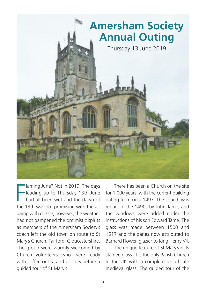### **Amersham Society Annual Outing** Thursday 13 June 2019

Iaming June? Not in 2019. The days<br>
leading up to Thursday 13th June<br>
had all been wet and the dawn of<br>
the 13th was not promising with the air laming June? Not in 2019. The days leading up to Thursday 13th June had all been wet and the dawn of damp with drizzle, however, the weather had not dampened the optimistic spirits as members of the Amersham Society's coach left the old town on route to St Mary's Church, Fairford, Gloucestershire. The group were warmly welcomed by Church volunteers who were ready with coffee or tea and biscuits before a guided tour of St Mary's.

 There has been a Church on the site for 1,000 years, with the current building dating from circa 1497. The church was rebuilt in the 1490s by John Tame, and the windows were added under the instructions of his son Edward Tame. The glass was made between 1500 and 1517 and the panes now attributed to Barnard Flower, glazier to King Henry VII.

 The unique feature of St Mary's is its stained glass. It is the only Parish Church in the UK with a complete set of late medieval glass. The guided tour of the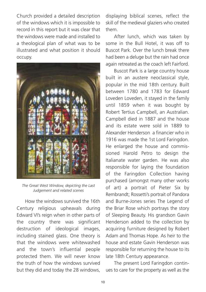Church provided a detailed description of the windows which it is impossible to record in this report but it was clear that the windows were made and installed to a theological plan of what was to be illustrated and what position it should occupy.



*The Great West Window, depicting the Last Judgement and related scenes*

 How the windows survived the 16th Century religious upheavals during Edward VI's reign when in other parts of the country there was significant destruction of ideological images, including stained glass. One theory is that the windows were whitewashed and the town's influential people protected them. We will never know the truth of how the windows survived but they did and today the 28 windows,

displaying biblical scenes, reflect the skill of the medieval glaziers who created them.

 After lunch, which was taken by some in the Bull Hotel, it was off to Buscot Park. Over the lunch break there had been a deluge but the rain had once again retreated as the coach left Fairford.

 Buscot Park is a large country house built in an austere neoclassical style, popular in the mid 18th century. Built between 1780 and 1783 for Edward Loveden Loveden, it stayed in the family until 1859 when it was bought by Robert Tertius Campbell, an Australian. Campbell died in 1887 and the house and its estate were sold in 1889 to Alexander Henderson a financier who in 1916 was made the 1st Lord Faringdon. He enlarged the house and commissioned Harold Petro to design the Italianate water garden. He was also responsible for laying the foundation of the Faringdon Collection having purchased (amongst many other works of art) a portrait of Pieter Six by Rembrandt; Rossetti's portrait of Pandora and Burne-Jones series The Legend of the Briar Rose which portrays the story of Sleeping Beauty. His grandson Gavin Henderson added to the collection by acquiring furniture designed by Robert Adam and Thomas Hope. As heir to the house and estate Gavin Henderson was responsible for returning the house to its late 18th Century appearance.

 The present Lord Faringdon continues to care for the property as well as the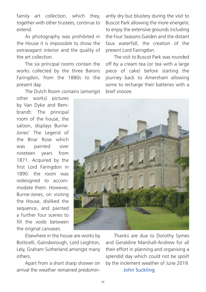family art collection, which they, together with other trustees, continue to extend.

 As photography was prohibited in the House it is impossible to show the extravagant interior and the quality of the art collection.

 The six principal rooms contain the works collected by the three Barons Faringdon, from the 1880s to the present day.

The Dutch Room contains (amongst

other works) pictures by Van Dyke and Rembrandt. The principal room of the house, the saloon, displays Burne-Jones' The Legend of the Briar Rose which was painted over nineteen years from 1871. Acquired by the first Lord Faringdon in 1890. the room was redesigned to accommodate them. However, Burne-Jones, on visiting the House, disliked the sequence, and painted a further four scenes to fill the voids between the original canvases.

antly dry but blustery during the visit to Buscot Park allowing the more energetic to enjoy the extensive grounds including the Four Seasons Garden and the distant faux waterfall, the creation of the present Lord Faringdon.

 The visit to Buscot Park was rounded off by a cream tea (or tea with a large piece of cake) before starting the journey back to Amersham allowing some to recharge their batteries with a brief snooze.



 Elsewhere in the house are works by Botticelli, Gainsborough, Lord Leighton, Lely, Graham Sutherland amongst many others.

 Apart from a short sharp shower on arrival the weather remained predomin-

 Thanks are due to Dorothy Symes and Geraldine Marshall-Andrew for all their effort in planning and organising a splendid day which could not be spoilt by the inclement weather of June 2019. John Suckling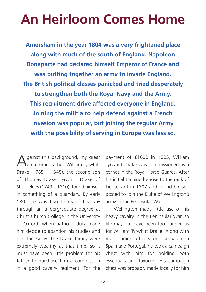## **An Heirloom Comes Home**

**Amersham in the year 1804 was a very frightened place along with much of the south of England. Napoleon Bonaparte had declared himself Emperor of France and was putting together an army to invade England. The British political classes panicked and tried desperately to strengthen both the Royal Navy and the Army. This recruitment drive affected everyone in England. Joining the militia to help defend against a French invasion was popular, but joining the regular Army with the possibility of serving in Europe was less so.**

A gainst this background, my great<br>Agreat grandfather, William Tyrwhitt Drake  $(1785 - 1848)$ , the second son of Thomas Drake Tyrwhitt Drake of Shardeloes (1749 – 1810), found himself in something of a quandary. By early 1805 he was two thirds of his way through an undergraduate degree at Christ Church College in the University of Oxford, when patriotic duty made him decide to abandon his studies and join the Army. The Drake family were extremely wealthy at that time, so it must have been little problem for his father to purchase him a commission in a good cavalry regiment. For the

payment of £1600 in 1805, William Tyrwhitt Drake was commissioned as a cornet in the Royal Horse Guards. After his initial training he rose to the rank of Lieutenant in 1807 and found himself posted to join the Duke of Wellington's army in the Peninsular War.

 Wellington made little use of his heavy cavalry in the Peninsular War, so life may not have been too dangerous for William Tyrwhitt Drake. Along with most junior officers on campaign in Spain and Portugal, he took a campaign chest with him for holding both essentials and luxuries. His campaign chest was probably made locally for him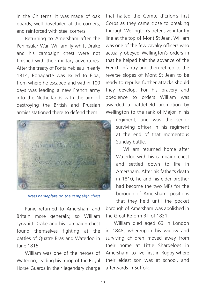in the Chilterns. It was made of oak boards, well dovetailed at the corners, and reinforced with steel corners.

 Returning to Amersham after the Peninsular War, William Tyrwhitt Drake and his campaign chest were not finished with their military adventures. After the treaty of Fontainebleau in early 1814, Bonaparte was exiled to Elba, from where he escaped and within 100 days was leading a new French army into the Netherlands with the aim of destroying the British and Prussian armies stationed there to defend them.



*Brass nameplate on the campaign chest*

 Panic returned to Amersham and Britain more generally, so William Tyrwhitt Drake and his campaign chest found themselves fighting at the battles of Quatre Bras and Waterloo in June 1815.

 William was one of the heroes of Waterloo, leading his troop of the Royal Horse Guards in their legendary charge

that halted the Comte d'Erlon's first Corps as they came close to breaking through Wellington's defensive infantry line at the top of Mont St Jean. William was one of the few cavalry officers who actually obeyed Wellington's orders in that he helped halt the advance of the French infantry and then retired to the reverse slopes of Mont St Jean to be ready to repulse further attacks should they develop. For his bravery and obedience to orders William was awarded a battlefield promotion by Wellington to the rank of Major in his

> regiment, and was the senior surviving officer in his regiment at the end of that momentous Sunday battle.

> William returned home after Waterloo with his campaign chest and settled down to life in Amersham. After his father's death in 1810, he and his elder brother had become the two MPs for the borough of Amersham, positions that they held until the pocket

borough of Amersham was abolished in the Great Reform Bill of 1831.

 William died aged 63 in London in 1848, whereupon his widow and surviving children moved away from their home at Little Shardeloes in Amersham, to live first in Rugby where their eldest son was at school, and afterwards in Suffolk.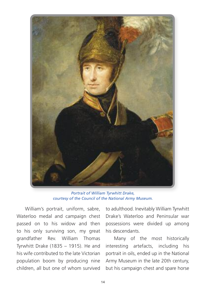

*Portrait of William Tyrwhitt Drake, courtesy of the Council of the National Army Museum.*

 William's portrait, uniform, sabre, Waterloo medal and campaign chest passed on to his widow and then to his only surviving son, my great grandfather Rev. William Thomas Tyrwhitt Drake (1835 – 1915). He and his wife contributed to the late Victorian population boom by producing nine children, all but one of whom survived to adulthood. Inevitably William Tyrwhitt Drake's Waterloo and Peninsular war possessions were divided up among his descendants.

 Many of the most historically interesting artefacts, including his portrait in oils, ended up in the National Army Museum in the late 20th century, but his campaign chest and spare horse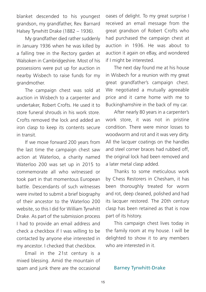blanket descended to his youngest grandson, my grandfather, Rev. Barnard Halsey Tyrwhitt Drake (1882 – 1936).

 My grandfather died rather suddenly in January 1936 when he was killed by a falling tree in the Rectory garden at Walsoken in Cambridgeshire. Most of his possessions were put up for auction in nearby Wisbech to raise funds for my grandmother.

 The campaign chest was sold at auction in Wisbech to a carpenter and undertaker, Robert Crofts. He used it to store funeral shrouds in his work store. Crofts removed the lock and added an iron clasp to keep its contents secure in transit.

 If we move forward 200 years from the last time the campaign chest saw action at Waterloo, a charity named Waterloo 200 was set up in 2015 to commemorate all who witnessed or took part in that momentous European battle. Descendants of such witnesses were invited to submit a brief biography of their ancestor to the Waterloo 200 website, so this I did for William Tyrwhitt Drake. As part of the submission process I had to provide an email address and check a checkbox if I was willing to be contacted by anyone else interested in my ancestor. I checked that checkbox.

 Email in the 21st century is a mixed blessing. Amid the mountain of spam and junk there are the occasional oases of delight. To my great surprise I received an email message from the great grandson of Robert Crofts who had purchased the campaign chest at auction in 1936. He was about to auction it again on eBay, and wondered if I might be interested.

 The next day found me at his house in Wisbech for a reunion with my great great grandfather's campaign chest. We negotiated a mutually agreeable price and it came home with me to Buckinghamshire in the back of my car.

 After nearly 80 years in a carpenter's work store, it was not in pristine condition. There were minor losses to woodworm and rot and it was very dirty. All the lacquer coatings on the handles and steel corner braces had rubbed off, the original lock had been removed and a later metal clasp added.

 Thanks to some meticulous work by Chess Restorers in Chesham, it has been thoroughly treated for worm and rot, deep cleaned, polished and had its lacquer restored. The 20th century clasp has been retained as that is now part of its history.

 This campaign chest lives today in the family room at my house. I will be delighted to show it to any members who are interested in it.

#### Barney Tyrwhitt-Drake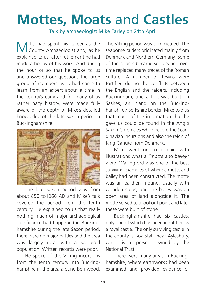## **Mottes, Moats** and **Castles**

Talk by archaeologist Mike Farley on 24th April

Mike had spent his career as the County Archaeologist and, as he explained to us, after retirement he had made a hobby of his work. And during the hour or so that he spoke to us and answered our questions the large group of members, who had come to learn from an expert about a time in the county's early and for many of us rather hazy history, were made fully aware of the depth of Mike's detailed knowledge of the late Saxon period in Buckinghamshire.



 The late Saxon period was from about 850 to1066 AD and Mike's talk covered the period from the tenth century. He explained to us that really nothing much of major archaeological significance had happened in Buckinghamshire during the late Saxon period, there were no major battles and the area was largely rural with a scattered population. Written records were poor.

 He spoke of the Viking incursions from the tenth century into Buckinghamshire in the area around Bernwood.

The Viking period was complicated. The seaborne raiders originated mainly from Denmark and Northern Germany. Some of the raiders became settlers and over time replaced many traces of the Roman culture. A number of towns were fortified during the conflicts between the English and the raiders, including Buckingham, and a fort was built on Sashes, an island on the Buckinghamshire / Berkshire border. Mike told us that much of the information that he gave us could be found in the Anglo Saxon Chronicles which record the Scandinavian incursions and also the reign of King Canute from Denmark.

 Mike went on to explain with illustrations what a *"motte and bailey"* were. Wallingford was one of the best surviving examples of where a motte and bailey had been constructed. The motte was an earthen mound, usually with wooden steps, and the bailey was an open area of land alongside it. The motte served as a lookout point and later these were built of stone.

 Buckinghamshire had six castles, only one of which has been identified as a royal castle. The only surviving castle in the county is Boarstall, near Aylesbury, which is at present owned by the National Trust.

 There were many areas in Buckinghamshire, where earthworks had been examined and provided evidence of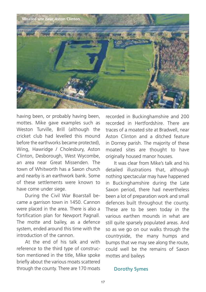

having been, or probably having been, mottes. Mike gave examples such as Weston Turville, Brill (although the cricket club had levelled this mound before the earthworks became protected), Wing, Hawridge / Cholesbury, Aston Clinton, Desborough, West Wycombe, an area near Great Missenden. The town of Whitworth has a Saxon church and nearby is an earthwork bank. Some of these settlements were known to have come under siege.

 During the Civil War Boarstall became a garrison town in 1450. Cannon were placed in the area. There is also a fortification plan for Newport Pagnall. The motte and bailey, as a defence system, ended around this time with the introduction of the cannon.

 At the end of his talk and with reference to the third type of construction mentioned in the title, Mike spoke briefly about the various moats scattered through the county. There are 170 moats recorded in Buckinghamshire and 200 recorded in Hertfordshire. There are traces of a moated site at Bradwell, near Aston Clinton and a ditched feature in Dorney parish. The majority of these moated sites are thought to have originally housed manor houses.

 It was clear from Mike's talk and his detailed illustrations that, although nothing spectacular may have happened in Buckinghamshire during the Late Saxon period, there had nevertheless been a lot of preparation work and small defences built throughout the county. These are to be seen today in the various earthen mounds in what are still quite sparsely populated areas. And so as we go on our walks through the countryside, the many humps and bumps that we may see along the route, could well be the remains of Saxon mottes and baileys

#### Dorothy Symes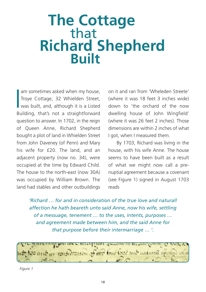### **The Cottage** that **Richard Shepherd Built**

Im sometimes asked when my house,<br>Troye Cottage, 32 Whielden Street,<br>was built, and, although it is a Listed<br>Building, that's not a straightforward am sometimes asked when my house, Troye Cottage, 32 Whielden Street, was built, and, although it is a Listed question to answer. In 1702, in the reign of Queen Anne, Richard Shepherd bought a plot of land in Whielden Street from John Daveney (of Penn) and Mary his wife for £20. The land, and an adjacent property (now no. 34), were occupied at the time by Edward Child. The house to the north-east (now 30A) was occupied by William Brown. The land had stables and other outbuildings

on it and ran from 'Wheleden Streete' (where it was 18 feet 3 inches wide) down to 'the orchard of the now dwelling house of John Wingfield' (where it was 26 feet 2 inches). Those dimensions are within 2 inches of what I got, when I measured them.

 seems to have been built as a result By 1703, Richard was living in the house, with his wife Anne. The house of what we might now call a prenuptial agreement because a covenant (see Figure 1) signed in August 1703 reads

*'Richard … for and in consideration of the true love and naturall affection he hath beareth unto said Anne, now his wife, settling of a messuage, tenement … to the uses, intents, purposes … and agreement made between him, and the said Anne for that purpose before their intermarriage … '.*



*Figure 1*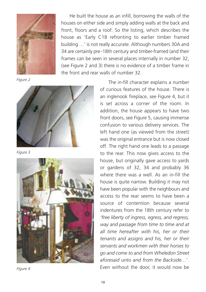

*Figure 2*



*Figure 3*



*Figure 4*

 He built the house as an infill, borrowing the walls of the houses on either side and simply adding walls at the back and front, floors and a roof. So the listing, which describes the house as 'Early C18 refronting to earlier timber framed building …' is not really accurate. Although numbers 30A and 34 are certainly pre -18th century and timber-framed (and their frames can be seen in several places internally in number 32, (see Figure 2 and 3) there is no evidence of a timber frame in the front and rear walls of number 32.

> The in-fill character explains a number of curious features of the house. There is an inglenook fireplace, see Figure 4, but it is set across a corner of the room. In addition, the house appears to have two front doors, see Figure 5, causing immense confusion to various delivery services. The left hand one (as viewed from the street) was the original entrance but is now closed off. The right hand one leads to a passage to the rear. This now gives access to the house, but originally gave access to yards or gardens of 32, 34 and probably 36 where there was a well. As an in-fill the house is quite narrow. Building it may not have been popular with the neighbours and access to the rear seems to have been a source of contention because several indentures from the 18th century refer to *'free liberty of ingress, egress, and regress, way and passage from time to time and at all time hereafter with his, her or their tenants and assigns and his, her or their servants and workmen with their horses to go and come to and from Wheledon Street aforesaid unto and from the Backside…*'. Even without the door, it would now be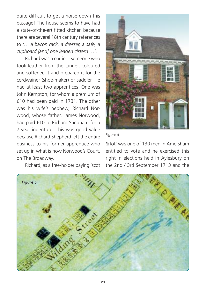quite difficult to get a horse down this passage! The house seems to have had a state-of-the-art fitted kitchen because there are several 18th century references to *'… a bacon rack, a dresser, a safe, a cupboard [and] one leaden cistern …'.*

Richard was a currier - someone who took leather from the tanner, coloured and softened it and prepared it for the cordwainer (shoe-maker) or saddler. He had at least two apprentices. One was John Kempton, for whom a premium of £10 had been paid in 1731. The other was his wife's nephew, Richard Norwood, whose father, James Norwood, had paid £10 to Richard Sheppard for a 7-year indenture. This was good value because Richard Shepherd left the entire business to his former apprentice who set up in what is now Norwood's Court, on The Broadway.

Richard, as a free-holder paying 'scot



#### *Figure 5*

& lot' was one of 130 men in Amersham entitled to vote and he exercised this right in elections held in Aylesbury on the 2nd / 3rd September 1713 and the

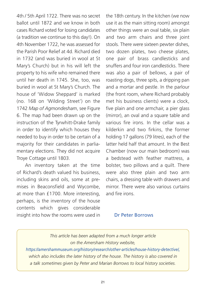4th / 5th April 1722. There was no secret ballot until 1872 and we know in both cases Richard voted for losing candidates (a tradition we continue to this day!). On 4th November 1722, he was assessed for the Parish Poor Relief at 4d. Richard died in 1732 (and was buried in wool at St Mary's Church) but in his will left the property to his wife who remained there until her death in 1745. She, too, was buried in wool at St Mary's Church. The house of 'Widow Sheppard' is marked (no. 168 on 'Wilding Street') on the 1742 *Map of Agmondesham*, see Figure 6. The map had been drawn up on the instruction of the Tyrwhitt-Drake family in order to identify which houses they needed to buy in order to be certain of a majority for their candidates in parliamentary elections. They did not acquire Troye Cottage until 1803.

 An inventory taken at the time of Richard's death valued his business, including skins and oils, some at premises in Beaconsfield and Wycombe, at more than £1700. More interesting, perhaps, is the inventory of the house contents which gives considerable insight into how the rooms were used in

the 18th century. In the kitchen (we now use it as the main sitting room) amongst other things were an oval table, six plain and two arm chairs and three joint stools. There were sixteen pewter dishes, two dozen plates, two cheese plates, one pair of brass candlesticks and snuffers and four iron candlesticks. There was also a pair of bellows, a pair of roasting dogs, three spits, a dripping pan and a mortar and pestle. In the parlour (the front room, where Richard probably met his business clients) were a clock, five plain and one armchair, a pier glass (mirror), an oval and a square table and various fire irons. In the cellar was a kilderkin and two firkins, the former holding 17 gallons (79 litres), each of the latter held half that amount. In the Best Chamber (now our main bedroom) was a bedstead with feather mattress, a bolster, two pillows and a quilt. There were also three plain and two arm chairs, a dressing table with drawers and mirror. There were also various curtains and fire irons.

### Dr Peter Borrows

### *This article has been adapted from a much longer article on the Amersham History website,*

*https://amershammuseum.org/history/research/other-articles/house-history-detective/, which also includes the later history of the house. The history is also covered in a talk sometimes given by Peter and Marian Borrows to local history societies.*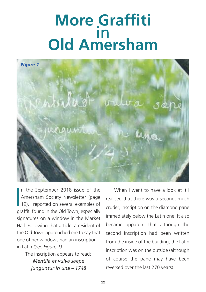## **More Graffiti** in **Old Amersham**



 $\frac{1}{2}$ n the September 2018 issue of the Amersham Society Newsletter (page 19), I reported on several examples of graffiti found in the Old Town, especially signatures on a window in the Market Hall. Following that article, a resident of the Old Town approached me to say that one of her windows had an inscription – in Latin *(See Figure 1)*.

The inscription appears to read:

*Mentila et vulva saepe junguntur in una – 1748*

When I went to have a look at it I realised that there was a second, much cruder, inscription on the diamond pane immediately below the Latin one. It also became apparent that although the second inscription had been written from the inside of the building, the Latin inscription was on the outside (although of course the pane may have been reversed over the last 270 years).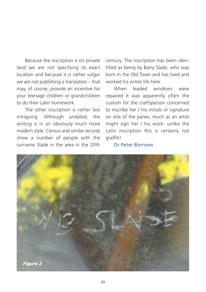Because the inscription is on private land we are not specifying its exact location and because it is rather vulgar we are not publishing a translation – that may, of course, provide an incentive for your teenage children or grandchildren to do their Latin homework.

 The other inscription is rather less intriguing. Although undated, the writing is in an obviously much more modern style. Census and similar records show a number of people with the surname Slade in the area in the 20th

century. The inscription has been identified as being by Barry Slade, who was born in the Old Town and has lived and worked his entire life here.

 When leaded windows were repaired it was apparently often the custom for the craftsperson concerned to inscribe her / his initials or signature on one of the panes, much as an artist might sign her / his work- unlike the Latin inscription this is certainly not graffiti!

### Dr Peter Borrows

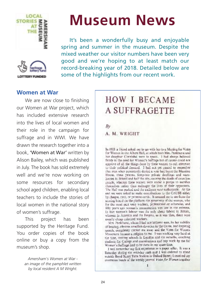





 It's been a wonderfully busy and enjoyable spring and summer in the museum. Despite the mixed weather our visitor numbers have been very good and we're hoping to at least match our record-breaking year of 2018. Detailed below are some of the highlights from our recent work.

### **Women at War**

We are now close to finishing our Women at War project, which has included extensive research into the lives of local women and their role in the campaign for suffrage and in WWI. We have drawn the research together into a book, 'Women at War' written by Alison Bailey, which was published in July. The book has sold extremely well and we're now working on some resources for secondary school aged children, enabling local teachers to include the stories of local women in the national story of women's suffrage.

 This project has been supported by the Heritage Fund. You order copies of the book online or buy a copy from the museum's shop.

> *Amersham's Women at War an image of the pamphlet written by local resident A M Wright.*

### **HOW I BECAME A SUFFRAGETTE**

Bv

A. M. WRIGHT

In 1908 a friend asked me to go with her to a Macting for Votes for Watten in the Albert Hall, at which both Mrs. Pankhurst and her daughter Christiabel were to speak. I had always believed firmly in the need for Woman's Suffrage but of course could not approve of all the things done by these woman to call attention. to their political demand. I had not yet paused to remember. that men when persistently deribly a vote had burst the Marsion House, three prisons, fony-two private dwellings and warehouses in Bristol and half the city, causing the death of countless. people, whereas these women were mader a piecipa to warrifical themselves rather than endanger the lives of their opponents. The Hall was packed and the audience wast enthusiastic. At the and we were asked to make contributions to the CAUSB either by cheque, cast, or promise cards. It amazed are to see from the seeding board on the platform the generosity of the women, who for the most part were workers, professional ar mherwise, and fifty years ago woman's remaintation was low in the extreme. In the women's labour was the only clean labore in Britain, whereas in America and the Firipine, as it was then, there were usually cheap colorized workers.

Mrs. Pankhurat, whom I had not hithere wan, by her nobility of bearing, obvious areadfish devotion to the Cause, and inspiring speech, completely carried me away and the Votes for Women Movement became a religion to me. I was wreking very lainlist the time, visiting whould in London and the suburbs, couching students for College and coaminations and any work by me for Women's Suffrage had to be done in my spare time.

I well remember my first experience as a paper seller. It was a Saturday during the mickday sush and I was ordered to stand outside Bord Street Tore Station in Oxford Street; I received my commons batch of the weekly journal Votes for Women together.

ı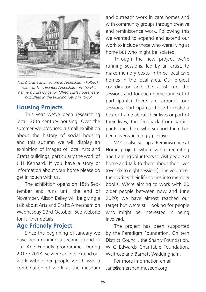

*Arts & Crafts architecture in Amersham - Fulbeck: 'Fulbeck, The Avenue, Amersham-on-the-Hill. Kennard's drawings for Alfred Ellis's house were published in the Building News in 1906'*

### **Housing Projects**

 This year we've been researching local, 20th century housing. Over the summer we produced a small exhibition about the history of social housing and this autumn we will display an exhibition of images of local Arts and Crafts buildings, particularly the work of J H Kennard. If you have a story or information about your home please do get in touch with us.

 The exhibition opens on 18th September and runs until the end of November. Alison Bailey will be giving a talk about Arts and Crafts Amersham on Wednesday 23rd October. See website for further details.

### **Age Friendly Project**

 Since the beginning of January we have been running a second strand of our Age Friendly programme. During 2017 / 2018 we were able to extend our work with older people which was a combination of work at the museum

and outreach work in care homes and with community groups through creative and reminiscence work. Following this we wanted to expand and extend our work to include those who were living at home but who might be isolated.

 Through the new project we're running sessions, led by an artist, to make memory boxes in three local care homes in the local area. Our project coordinator and the artist run the sessions and for each home (and set of participants) there are around four sessions. Participants chose to make a box or frame about their lives or part of their lives; the feedback from participants and those who support them has been overwhelmingly positive.

 We've also set up a Reminiscence at Home project, where we're recruiting and training volunteers to visit people at home and talk to them about their lives (over six to eight sessions). The volunteer then writes their life stories into memory books. We're aiming to work with 20 older people between now and June 2020; we have almost reached our target but we're still looking for people who might be interested in being involved.

 The project has been supported by the Paradigm Foundation, Chiltern District Council, the Shanly Foundation, W G Edwards Charitable Foundation. Waitrose and Barnett Waddingham.

 For more information email Jane@amershammuseum.org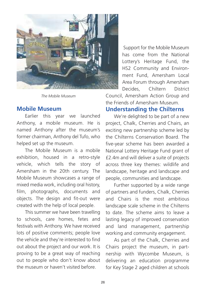

*The Mobile Museum*

### **Mobile Museum**

 Earlier this year we launched Anthony, a mobile museum. He is named Anthony after the museum's former chairman, Anthony del Tufo, who helped set up the museum.

 The Mobile Museum is a mobile exhibition, housed in a retro-style vehicle, which tells the story of Amersham in the 20th century. The Mobile Museum showcases a range of mixed media work, including oral history, film, photographs, documents and objects. The design and fit-out were created with the help of local people.

 This summer we have been travelling to schools, care homes, fetes and festivals with Anthony. We have received lots of positive comments; people love the vehicle and they're interested to find out about the project and our work. It is proving to be a great way of reaching out to people who don't know about the museum or haven't visited before.

Support for the Mobile Museum has come from the National Lottery's Heritage Fund, the HS2 Community and Environment Fund, Amersham Local Area Forum through Amersham Decides, Chiltern District Council, Amersham Action Group and the Friends of Amersham Museum.

### **Understanding the Chilterns**

 We're delighted to be part of a new project, Chalk, Cherries and Chairs, an exciting new partnership scheme led by the Chilterns Conservation Board. The five-year scheme has been awarded a National Lottery Heritage Fund grant of £2.4m and will deliver a suite of projects across three key themes: wildlife and landscape, heritage and landscape and people, communities and landscape.

 Further supported by a wide range of partners and funders, Chalk, Cherries and Chairs is the most ambitious landscape scale scheme in the Chilterns to date. The scheme aims to leave a lasting legacy of improved conservation and land management, partnership working and community engagement.

 As part of the Chalk, Cherries and Chairs project the museum, in partnership with Wycombe Museum, is delivering an education programme for Key Stage 2 aged children at schools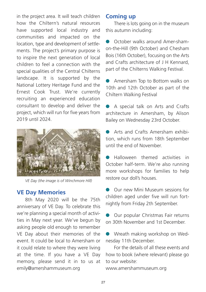in the project area. It will teach children how the Chiltern's natural resources have supported local industry and communities and impacted on the location, type and development of settlements. The project's primary purpose is to inspire the next generation of local children to feel a connection with the special qualities of the Central Chilterns landscape. It is supported by the National Lottery Heritage Fund and the Ernest Cook Trust. We're currently recruiting an experienced education consultant to develop and deliver the project, which will run for five years from 2019 until 2024.



*VE Day (the image is of Winchmore Hill)*

### **VE Day Memories**

 8th May 2020 will be the 75th anniversary of VE Day. To celebrate this we're planning a special month of activities in May next year. We've begun by asking people old enough to remember VE Day about their memories of the event. It could be local to Amersham or it could relate to where they were living at the time. If you have a VE Day memory, please send it in to us at emily@amershammuseum.org

### **Coming up**

There is lots going on in the museum this autumn including:

**C** October walks around Amer-shamon-the-Hill (9th October) and Chesham Bois (16th October), focusing on the Arts and Crafts architecture of J H Kennard, part of the Chilterns Walking Festival.

l Amersham Top to Bottom walks on 10th and 12th October as part of the Chiltern Walking Festival

● A special talk on Arts and Crafts architecture in Amersham, by Alison Bailey on Wednesday 23rd October.

**C** Arts and Crafts Amersham exhibition, which runs from 18th September until the end of November.

l Halloween themed activities in October half-term. We're also running more workshops for families to help restore our doll's houses.

**C** Our new Mini Museum sessions for children aged under five will run fortnightly from Friday 2th September.

**I** Our popular Christmas Fair returns on 30th November and 1st December.

**I** Wreath making workshop on Wednesday 11th December.

 For the details of all these events and how to book (where relevant) please go to our website:

www.amershammuseum.org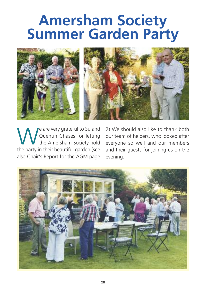## **Amersham Society Summer Garden Party**



We are very grateful to Su and<br>Quentin Chases for letting<br>the party in their beautiful garden (see Quentin Chases for letting the Amersham Society hold the party in their beautiful garden (see also Chair's Report for the AGM page

2) We should also like to thank both our team of helpers, who looked after everyone so well and our members and their guests for joining us on the evening.

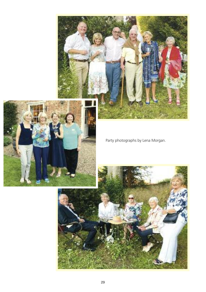



Party photographs by Lena Morgan.